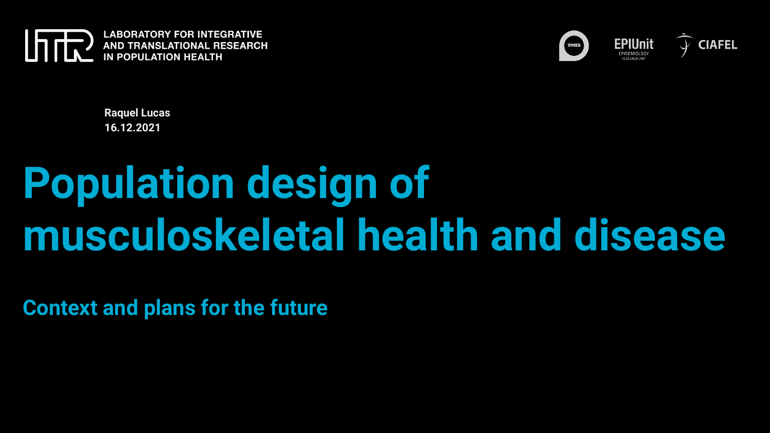



**Raquel Lucas 16.12.2021**

### **Population design of musculoskeletal health and disease**

**Context and plans for the future**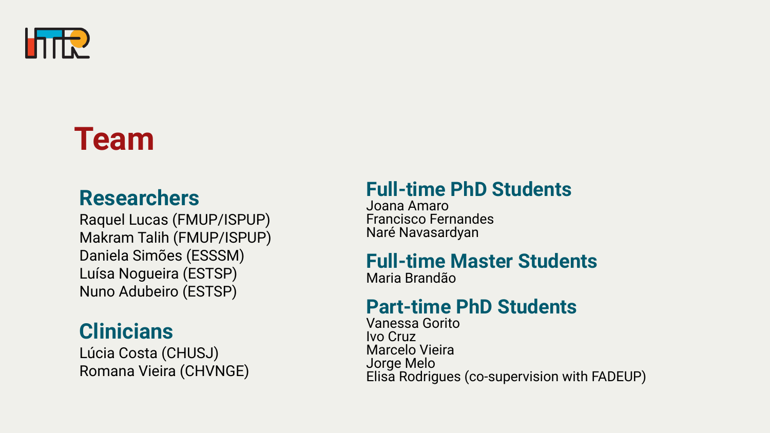

### **Team**

#### **Researchers**

Raquel Lucas (FMUP/ISPUP) Makram Talih (FMUP/ISPUP) Daniela Simões (ESSSM) Luísa Nogueira (ESTSP) Nuno Adubeiro (ESTSP)

#### **Clinicians**

Lúcia Costa (CHUSJ) Romana Vieira (CHVNGE)

#### **Full-time PhD Students**

Joana Amaro Francisco Fernandes Naré Navasardyan

#### **Full-time Master Students**

Maria Brandão

#### **Part-time PhD Students**

Vanessa Gorito Ivo Cruz Marcelo Vieira Jorge Melo Elisa Rodrigues (co-supervision with FADEUP)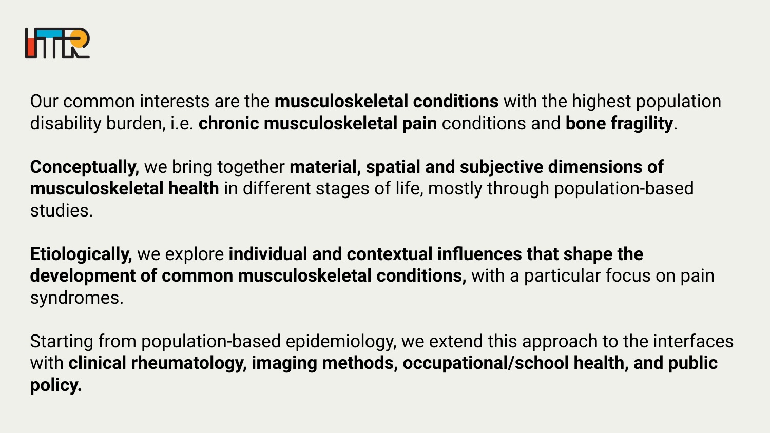

Our common interests are the **musculoskeletal conditions** with the highest population disability burden, i.e. **chronic musculoskeletal pain** conditions and **bone fragility**.

**Conceptually,** we bring together **material, spatial and subjective dimensions of musculoskeletal health** in different stages of life, mostly through population-based studies.

**Etiologically,** we explore **individual and contextual influences that shape the development of common musculoskeletal conditions,** with a particular focus on pain syndromes.

Starting from population-based epidemiology, we extend this approach to the interfaces with **clinical rheumatology, imaging methods, occupational/school health, and public policy.**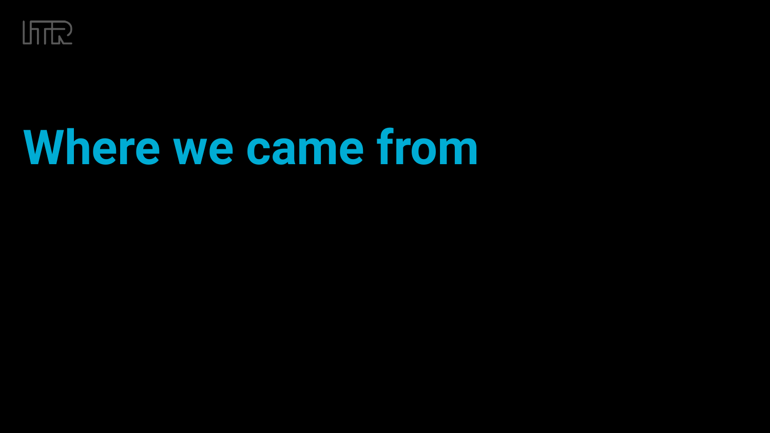

## **Where we came from**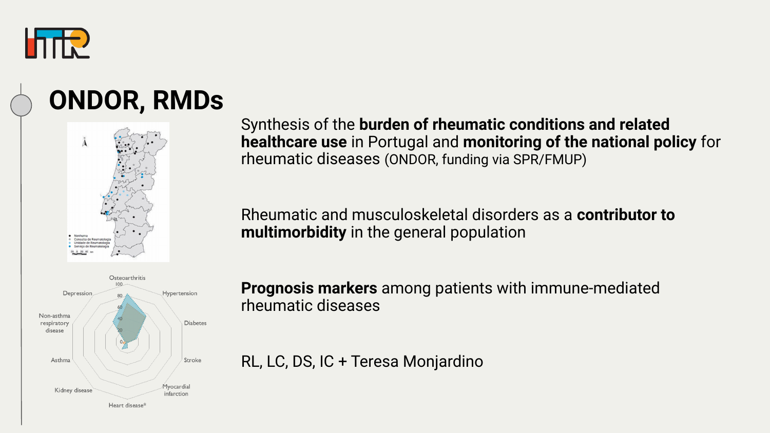

### **ONDOR, RMDs**





Synthesis of the **burden of rheumatic conditions and related healthcare use** in Portugal and **monitoring of the national policy** for rheumatic diseases (ONDOR, funding via SPR/FMUP)

Rheumatic and musculoskeletal disorders as a **contributor to multimorbidity** in the general population

**Prognosis markers** among patients with immune-mediated rheumatic diseases

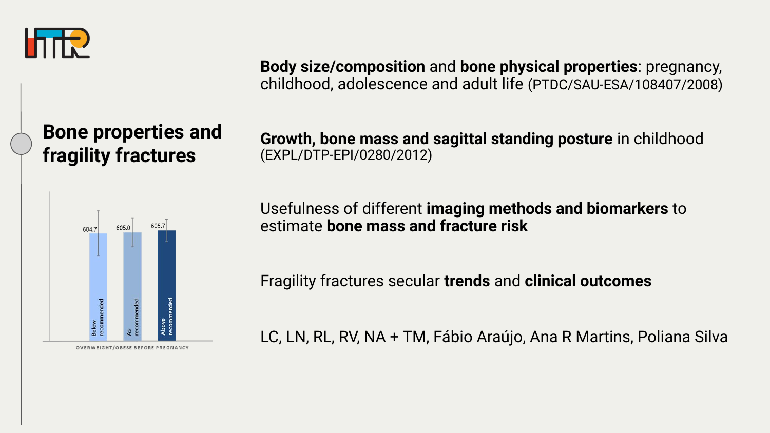

**Body size/composition** and **bone physical properties**: pregnancy, childhood, adolescence and adult life (PTDC/SAU-ESA/108407/2008)

#### **Bone properties and fragility fractures**

**Growth, bone mass and sagittal standing posture** in childhood (EXPL/DTP-EPI/0280/2012)



Usefulness of different **imaging methods and biomarkers** to estimate **bone mass and fracture risk**

Fragility fractures secular **trends** and **clinical outcomes**

LC, LN, RL, RV, NA + TM, Fábio Araújo, Ana R Martins, Poliana Silva

OVERWEIGHT/OBESE BEFORE PREGNANCY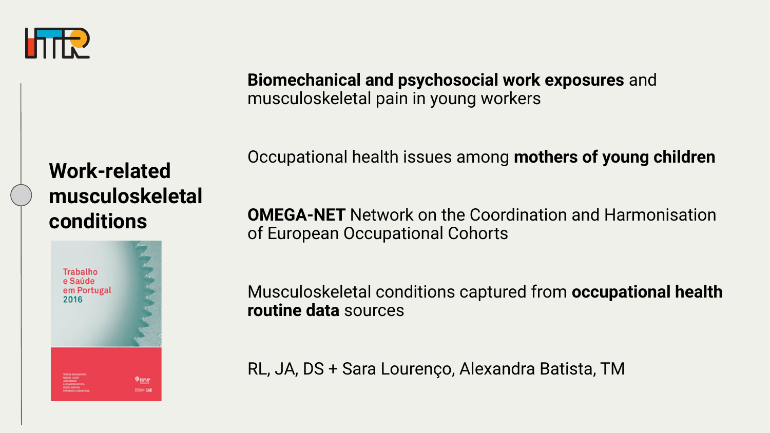

**Biomechanical and psychosocial work exposures** and musculoskeletal pain in young workers

Occupational health issues among **mothers of young children** 

#### **Work-related musculoskeletal conditions**



**OMEGA-NET** Network on the Coordination and Harmonisation of European Occupational Cohorts

Musculoskeletal conditions captured from **occupational health routine data** sources

RL, JA, DS + Sara Lourenço, Alexandra Batista, TM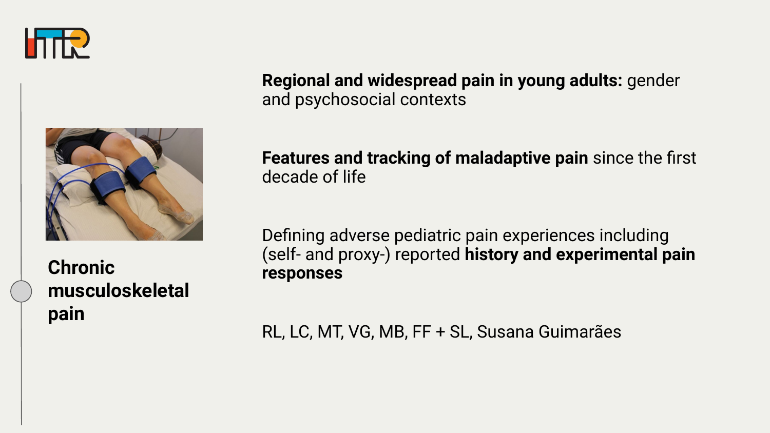



**Chronic musculoskeletal pain**

**Regional and widespread pain in young adults:** gender and psychosocial contexts

**Features and tracking of maladaptive pain** since the first decade of life

Defining adverse pediatric pain experiences including (self- and proxy-) reported **history and experimental pain responses**

RL, LC, MT, VG, MB, FF + SL, Susana Guimarães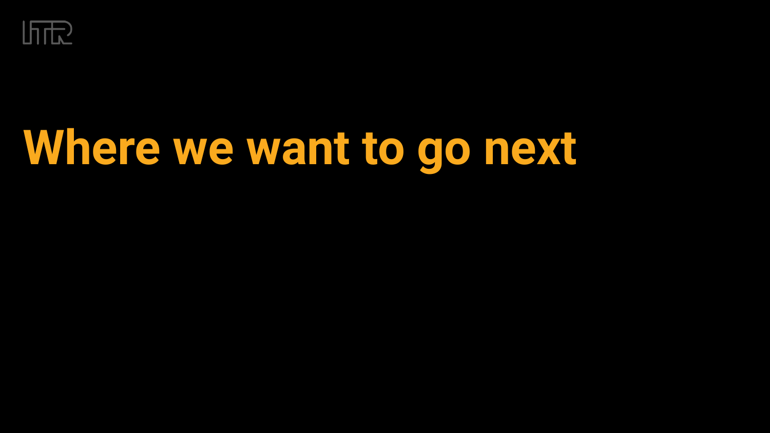

# **Where we want to go next**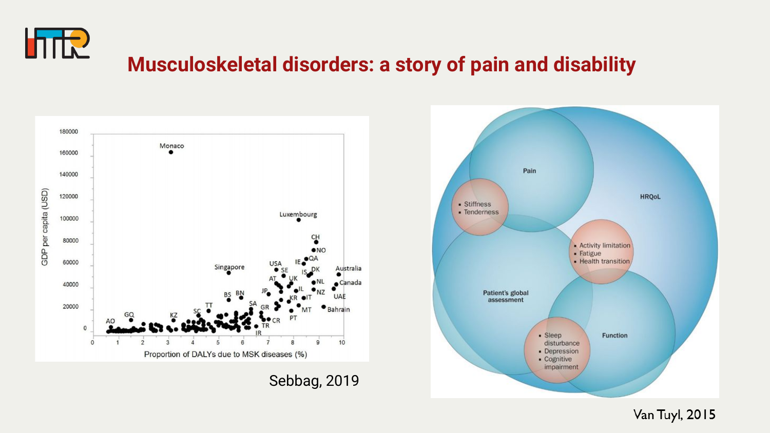

#### **Musculoskeletal disorders: a story of pain and disability**



Sebbag, 2019



Van Tuyl, 2015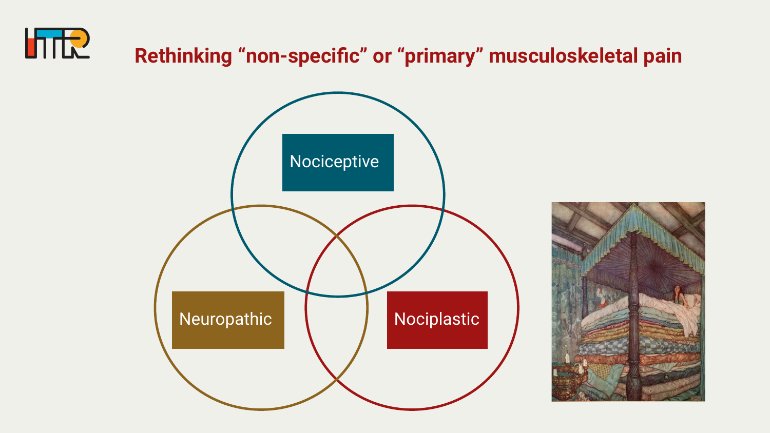

#### **Rethinking "non-specific" or "primary" musculoskeletal pain**



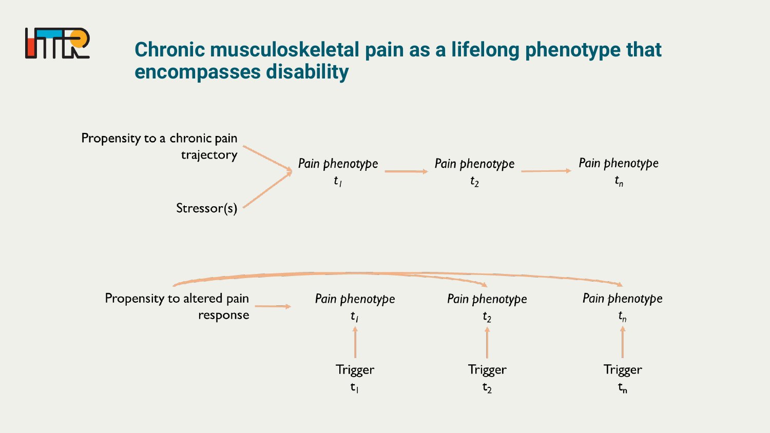

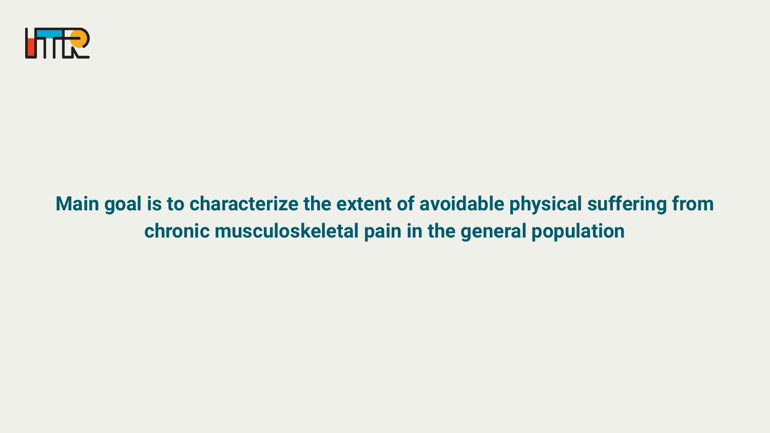

#### **Main goal is to characterize the extent of avoidable physical suffering from chronic musculoskeletal pain in the general population**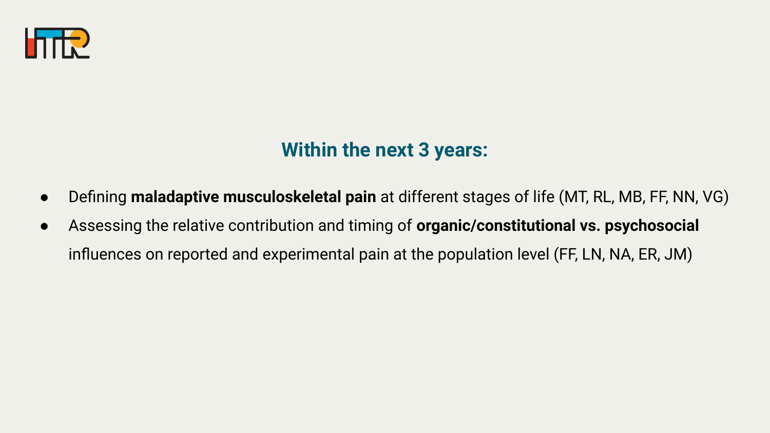

#### **Within the next 3 years:**

- Defining **maladaptive musculoskeletal pain** at different stages of life (MT, RL, MB, FF, NN, VG)
- Assessing the relative contribution and timing of **organic/constitutional vs. psychosocial**  influences on reported and experimental pain at the population level (FF, LN, NA, ER, JM)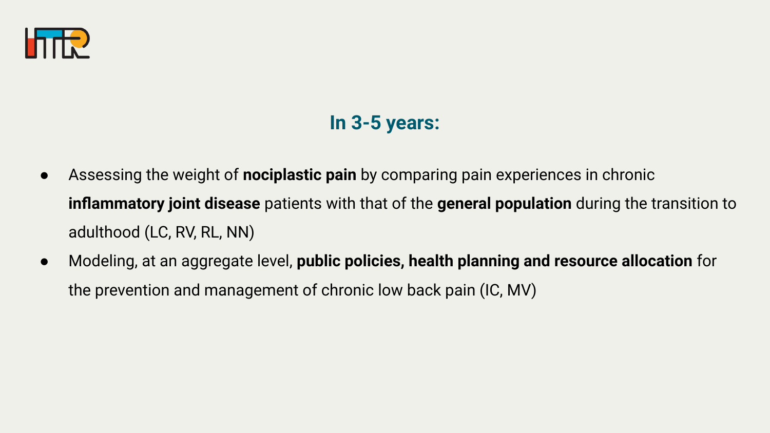

#### **In 3-5 years:**

- Assessing the weight of **nociplastic pain** by comparing pain experiences in chronic **inflammatory joint disease** patients with that of the **general population** during the transition to adulthood (LC, RV, RL, NN)
- Modeling, at an aggregate level, **public policies, health planning and resource allocation** for the prevention and management of chronic low back pain (IC, MV)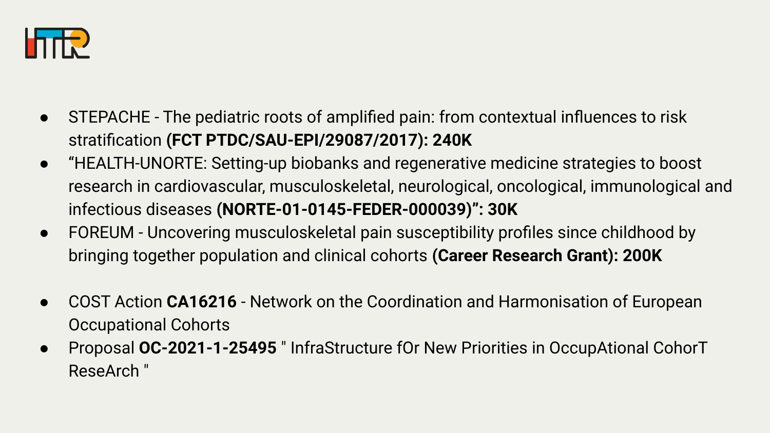

- STEPACHE The pediatric roots of amplified pain: from contextual influences to risk stratification **(FCT PTDC/SAU-EPI/29087/2017): 240K**
- ''HEALTH-UNORTE: Setting-up biobanks and regenerative medicine strategies to boost research in cardiovascular, musculoskeletal, neurological, oncological, immunological and infectious diseases **(NORTE-01-0145-FEDER-000039)": 30K**
- FOREUM Uncovering musculoskeletal pain susceptibility profiles since childhood by bringing together population and clinical cohorts **(Career Research Grant): 200K**
- COST Action **CA16216** Network on the Coordination and Harmonisation of European Occupational Cohorts
- Proposal **OC-2021-1-25495** " InfraStructure fOr New Priorities in OccupAtional CohorT ReseArch "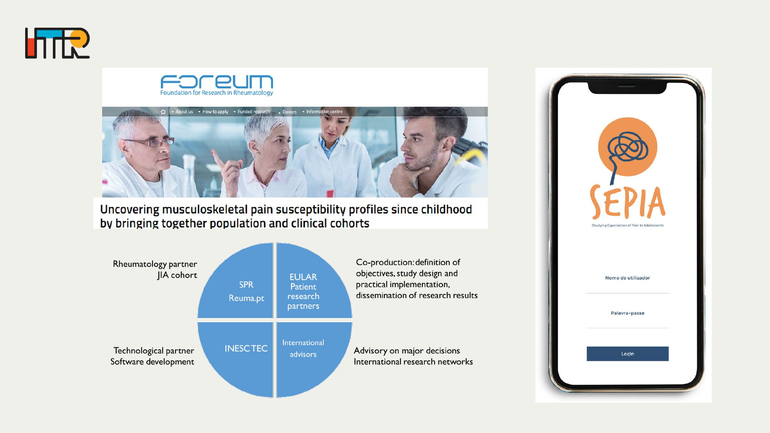





Uncovering musculoskeletal pain susceptibility profiles since childhood by bringing together population and clinical cohorts